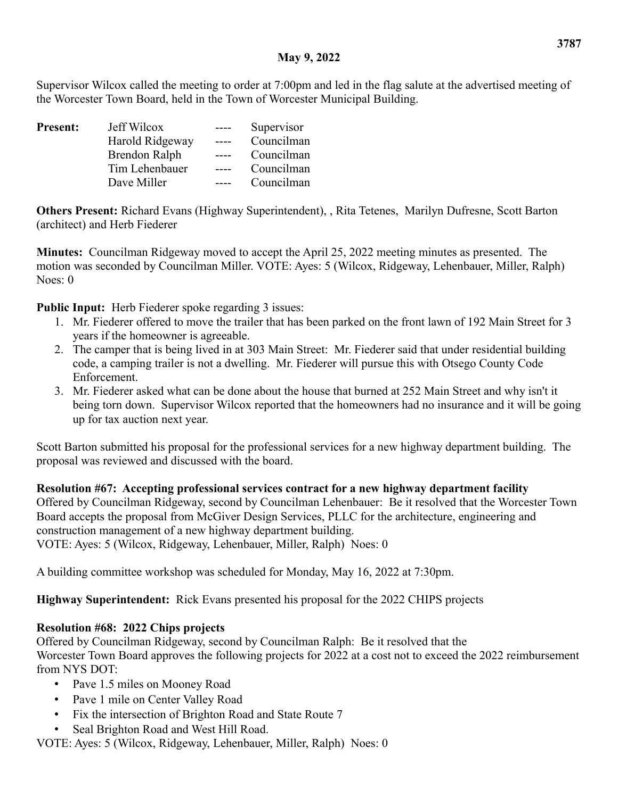### **May 9, 2022**

Supervisor Wilcox called the meeting to order at 7:00pm and led in the flag salute at the advertised meeting of the Worcester Town Board, held in the Town of Worcester Municipal Building.

| <b>Present:</b> | Jeff Wilcox     | Supervisor |
|-----------------|-----------------|------------|
|                 | Harold Ridgeway | Councilman |
|                 | Brendon Ralph   | Councilman |
|                 | Tim Lehenbauer  | Councilman |
|                 | Dave Miller     | Councilman |

**Others Present:** Richard Evans (Highway Superintendent), , Rita Tetenes, Marilyn Dufresne, Scott Barton (architect) and Herb Fiederer

**Minutes:** Councilman Ridgeway moved to accept the April 25, 2022 meeting minutes as presented. The motion was seconded by Councilman Miller. VOTE: Ayes: 5 (Wilcox, Ridgeway, Lehenbauer, Miller, Ralph) Noes: 0

**Public Input:** Herb Fiederer spoke regarding 3 issues:

- 1. Mr. Fiederer offered to move the trailer that has been parked on the front lawn of 192 Main Street for 3 years if the homeowner is agreeable.
- 2. The camper that is being lived in at 303 Main Street: Mr. Fiederer said that under residential building code, a camping trailer is not a dwelling. Mr. Fiederer will pursue this with Otsego County Code Enforcement.
- 3. Mr. Fiederer asked what can be done about the house that burned at 252 Main Street and why isn't it being torn down. Supervisor Wilcox reported that the homeowners had no insurance and it will be going up for tax auction next year.

Scott Barton submitted his proposal for the professional services for a new highway department building. The proposal was reviewed and discussed with the board.

**Resolution #67: Accepting professional services contract for a new highway department facility** Offered by Councilman Ridgeway, second by Councilman Lehenbauer: Be it resolved that the Worcester Town Board accepts the proposal from McGiver Design Services, PLLC for the architecture, engineering and construction management of a new highway department building. VOTE: Ayes: 5 (Wilcox, Ridgeway, Lehenbauer, Miller, Ralph) Noes: 0

A building committee workshop was scheduled for Monday, May 16, 2022 at 7:30pm.

**Highway Superintendent:** Rick Evans presented his proposal for the 2022 CHIPS projects

### **Resolution #68: 2022 Chips projects**

Offered by Councilman Ridgeway, second by Councilman Ralph: Be it resolved that the Worcester Town Board approves the following projects for 2022 at a cost not to exceed the 2022 reimbursement from NYS DOT:

- Pave 1.5 miles on Mooney Road
- Pave 1 mile on Center Valley Road
- Fix the intersection of Brighton Road and State Route 7
- Seal Brighton Road and West Hill Road.

VOTE: Ayes: 5 (Wilcox, Ridgeway, Lehenbauer, Miller, Ralph) Noes: 0